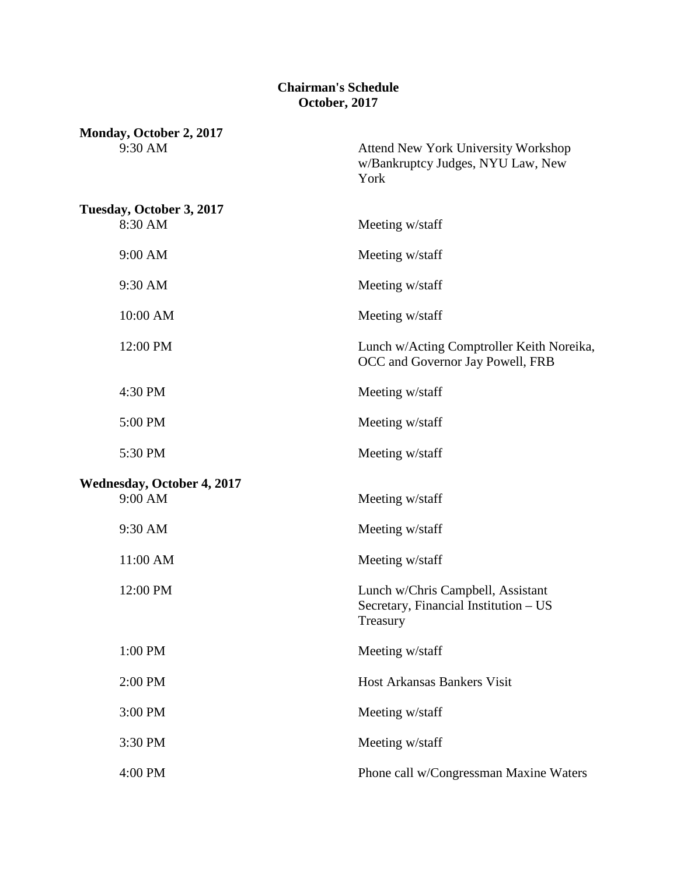## **Chairman's Schedule October, 2017**

| Monday, October 2, 2017<br>9:30 AM           | <b>Attend New York University Workshop</b><br>w/Bankruptcy Judges, NYU Law, New<br>York |
|----------------------------------------------|-----------------------------------------------------------------------------------------|
| Tuesday, October 3, 2017<br>8:30 AM          | Meeting w/staff                                                                         |
| 9:00 AM                                      | Meeting w/staff                                                                         |
| 9:30 AM                                      | Meeting w/staff                                                                         |
| 10:00 AM                                     | Meeting w/staff                                                                         |
| 12:00 PM                                     | Lunch w/Acting Comptroller Keith Noreika,<br>OCC and Governor Jay Powell, FRB           |
| 4:30 PM                                      | Meeting w/staff                                                                         |
| 5:00 PM                                      | Meeting w/staff                                                                         |
| 5:30 PM                                      | Meeting w/staff                                                                         |
| <b>Wednesday, October 4, 2017</b><br>9:00 AM | Meeting w/staff                                                                         |
| 9:30 AM                                      | Meeting w/staff                                                                         |
| 11:00 AM                                     | Meeting w/staff                                                                         |
| 12:00 PM                                     | Lunch w/Chris Campbell, Assistant<br>Secretary, Financial Institution - US<br>Treasury  |
| 1:00 PM                                      | Meeting w/staff                                                                         |
| 2:00 PM                                      | Host Arkansas Bankers Visit                                                             |
| 3:00 PM                                      | Meeting w/staff                                                                         |
| 3:30 PM                                      | Meeting w/staff                                                                         |
| 4:00 PM                                      | Phone call w/Congressman Maxine Waters                                                  |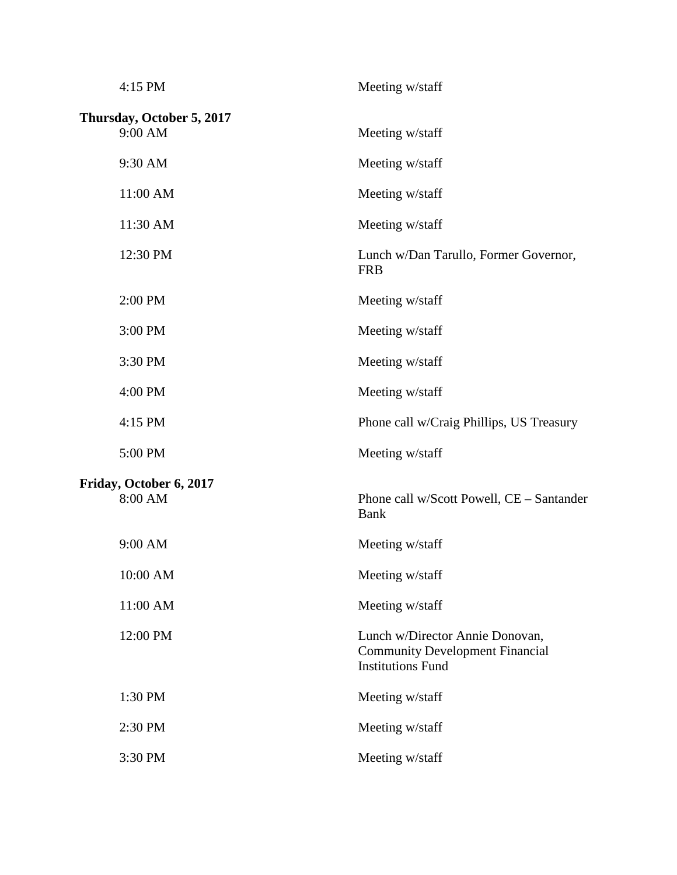| 4:15 PM                              | Meeting w/staff                                                                                       |
|--------------------------------------|-------------------------------------------------------------------------------------------------------|
| Thursday, October 5, 2017<br>9:00 AM | Meeting w/staff                                                                                       |
| 9:30 AM                              | Meeting w/staff                                                                                       |
| 11:00 AM                             | Meeting w/staff                                                                                       |
| 11:30 AM                             | Meeting w/staff                                                                                       |
| 12:30 PM                             | Lunch w/Dan Tarullo, Former Governor,<br><b>FRB</b>                                                   |
| 2:00 PM                              | Meeting w/staff                                                                                       |
| 3:00 PM                              | Meeting w/staff                                                                                       |
| 3:30 PM                              | Meeting w/staff                                                                                       |
| 4:00 PM                              | Meeting w/staff                                                                                       |
| 4:15 PM                              | Phone call w/Craig Phillips, US Treasury                                                              |
| 5:00 PM                              | Meeting w/staff                                                                                       |
| Friday, October 6, 2017<br>8:00 AM   | Phone call w/Scott Powell, CE - Santander<br><b>Bank</b>                                              |
| 9:00 AM                              | Meeting w/staff                                                                                       |
| 10:00 AM                             | Meeting w/staff                                                                                       |
| 11:00 AM                             | Meeting w/staff                                                                                       |
| 12:00 PM                             | Lunch w/Director Annie Donovan,<br><b>Community Development Financial</b><br><b>Institutions Fund</b> |
| 1:30 PM                              | Meeting w/staff                                                                                       |
| 2:30 PM                              | Meeting w/staff                                                                                       |
| 3:30 PM                              | Meeting w/staff                                                                                       |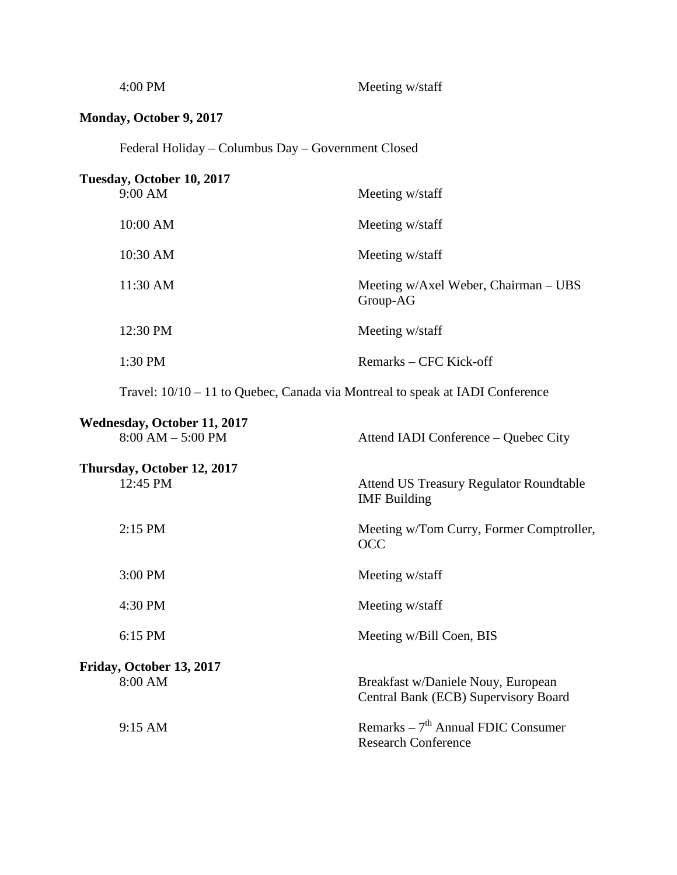| 4:00 PM                                            | Meeting w/staff                                                               |
|----------------------------------------------------|-------------------------------------------------------------------------------|
| Monday, October 9, 2017                            |                                                                               |
| Federal Holiday – Columbus Day – Government Closed |                                                                               |
| Tuesday, October 10, 2017<br>9:00 AM               | Meeting w/staff                                                               |
| 10:00 AM                                           | Meeting w/staff                                                               |
| 10:30 AM                                           | Meeting w/staff                                                               |
| 11:30 AM                                           | Meeting w/Axel Weber, Chairman - UBS<br>Group-AG                              |
| 12:30 PM                                           | Meeting w/staff                                                               |
| 1:30 PM                                            | Remarks – CFC Kick-off                                                        |
|                                                    | Travel: 10/10 – 11 to Quebec, Canada via Montreal to speak at IADI Conference |
| Wednesday, October 11, 2017<br>$8:00 AM - 5:00 PM$ | Attend IADI Conference – Quebec City                                          |
| Thursday, October 12, 2017<br>12:45 PM             | <b>Attend US Treasury Regulator Roundtable</b><br><b>IMF</b> Building         |
| 2:15 PM                                            | Meeting w/Tom Curry, Former Comptroller,<br><b>OCC</b>                        |
| 3:00 PM                                            | Meeting w/staff                                                               |
| 4:30 PM                                            | Meeting w/staff                                                               |
| 6:15 PM                                            | Meeting w/Bill Coen, BIS                                                      |
| Friday, October 13, 2017<br>8:00 AM                | Breakfast w/Daniele Nouy, European<br>Central Bank (ECB) Supervisory Board    |
| 9:15 AM                                            | Remarks $-7th$ Annual FDIC Consumer<br><b>Research Conference</b>             |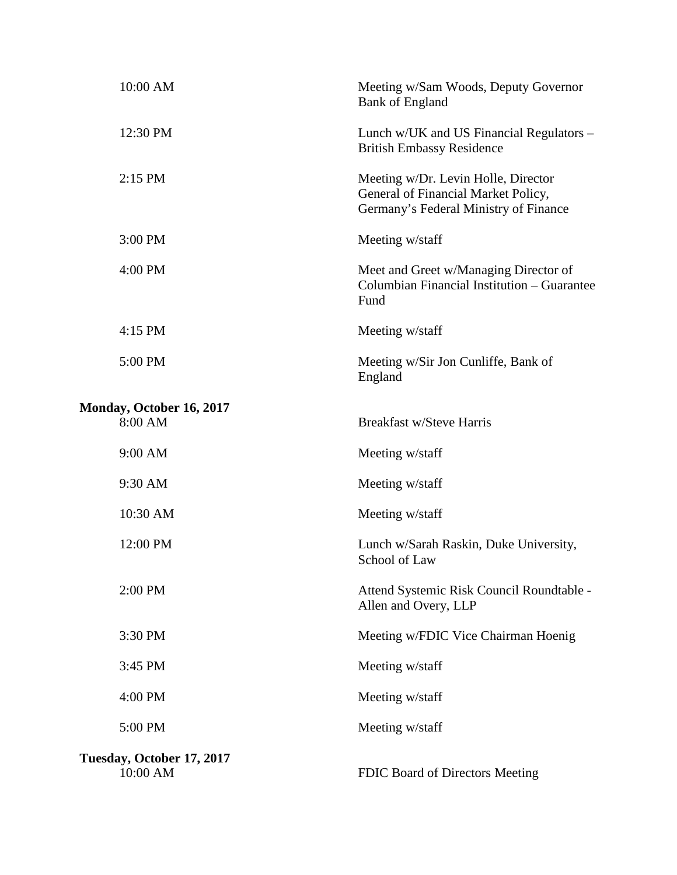| 10:00 AM                              | Meeting w/Sam Woods, Deputy Governor<br><b>Bank of England</b>                                                      |
|---------------------------------------|---------------------------------------------------------------------------------------------------------------------|
| 12:30 PM                              | Lunch w/UK and US Financial Regulators -<br><b>British Embassy Residence</b>                                        |
| 2:15 PM                               | Meeting w/Dr. Levin Holle, Director<br>General of Financial Market Policy,<br>Germany's Federal Ministry of Finance |
| 3:00 PM                               | Meeting w/staff                                                                                                     |
| 4:00 PM                               | Meet and Greet w/Managing Director of<br>Columbian Financial Institution – Guarantee<br>Fund                        |
| 4:15 PM                               | Meeting w/staff                                                                                                     |
| 5:00 PM                               | Meeting w/Sir Jon Cunliffe, Bank of<br>England                                                                      |
| Monday, October 16, 2017              |                                                                                                                     |
| 8:00 AM                               | <b>Breakfast w/Steve Harris</b>                                                                                     |
| 9:00 AM                               | Meeting w/staff                                                                                                     |
| 9:30 AM                               | Meeting w/staff                                                                                                     |
| 10:30 AM                              | Meeting w/staff                                                                                                     |
| 12:00 PM                              | Lunch w/Sarah Raskin, Duke University,<br>School of Law                                                             |
| 2:00 PM                               | Attend Systemic Risk Council Roundtable -<br>Allen and Overy, LLP                                                   |
| 3:30 PM                               | Meeting w/FDIC Vice Chairman Hoenig                                                                                 |
| 3:45 PM                               | Meeting w/staff                                                                                                     |
| 4:00 PM                               | Meeting w/staff                                                                                                     |
| 5:00 PM                               | Meeting w/staff                                                                                                     |
| Tuesday, October 17, 2017<br>10:00 AM | FDIC Board of Directors Meeting                                                                                     |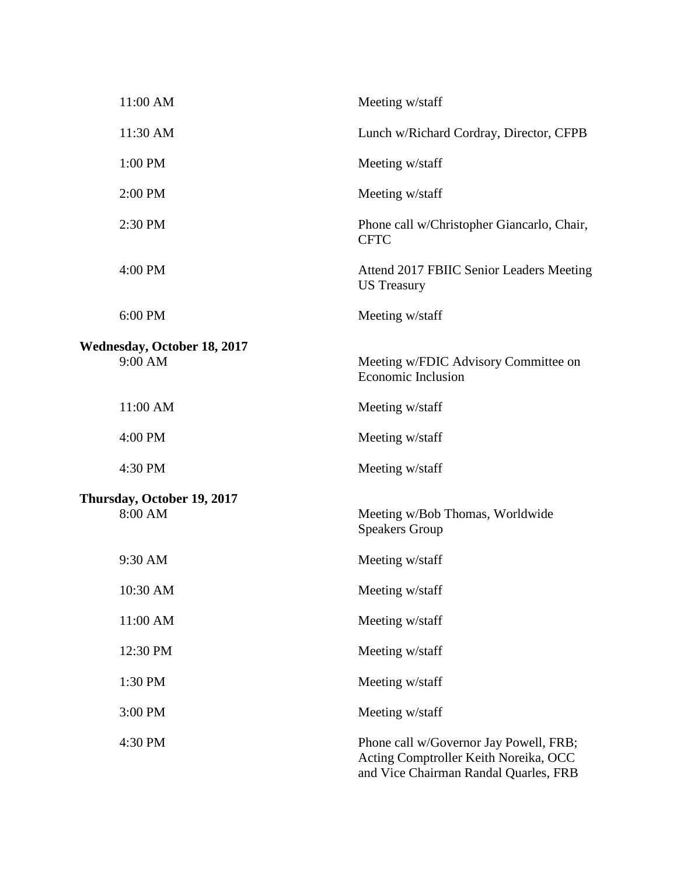| 11:00 AM                                      | Meeting w/staff                                                                                                          |
|-----------------------------------------------|--------------------------------------------------------------------------------------------------------------------------|
| 11:30 AM                                      | Lunch w/Richard Cordray, Director, CFPB                                                                                  |
| 1:00 PM                                       | Meeting w/staff                                                                                                          |
| 2:00 PM                                       | Meeting w/staff                                                                                                          |
| 2:30 PM                                       | Phone call w/Christopher Giancarlo, Chair,<br><b>CFTC</b>                                                                |
| 4:00 PM                                       | Attend 2017 FBIIC Senior Leaders Meeting<br><b>US</b> Treasury                                                           |
| 6:00 PM                                       | Meeting w/staff                                                                                                          |
| <b>Wednesday, October 18, 2017</b><br>9:00 AM | Meeting w/FDIC Advisory Committee on<br><b>Economic Inclusion</b>                                                        |
| 11:00 AM                                      | Meeting w/staff                                                                                                          |
| 4:00 PM                                       | Meeting w/staff                                                                                                          |
| 4:30 PM                                       | Meeting w/staff                                                                                                          |
| Thursday, October 19, 2017                    |                                                                                                                          |
| 8:00 AM                                       | Meeting w/Bob Thomas, Worldwide<br><b>Speakers Group</b>                                                                 |
| 9:30 AM                                       | Meeting w/staff                                                                                                          |
| 10:30 AM                                      | Meeting w/staff                                                                                                          |
| 11:00 AM                                      | Meeting w/staff                                                                                                          |
| 12:30 PM                                      | Meeting w/staff                                                                                                          |
| 1:30 PM                                       | Meeting w/staff                                                                                                          |
| 3:00 PM                                       | Meeting w/staff                                                                                                          |
| 4:30 PM                                       | Phone call w/Governor Jay Powell, FRB;<br>Acting Comptroller Keith Noreika, OCC<br>and Vice Chairman Randal Quarles, FRB |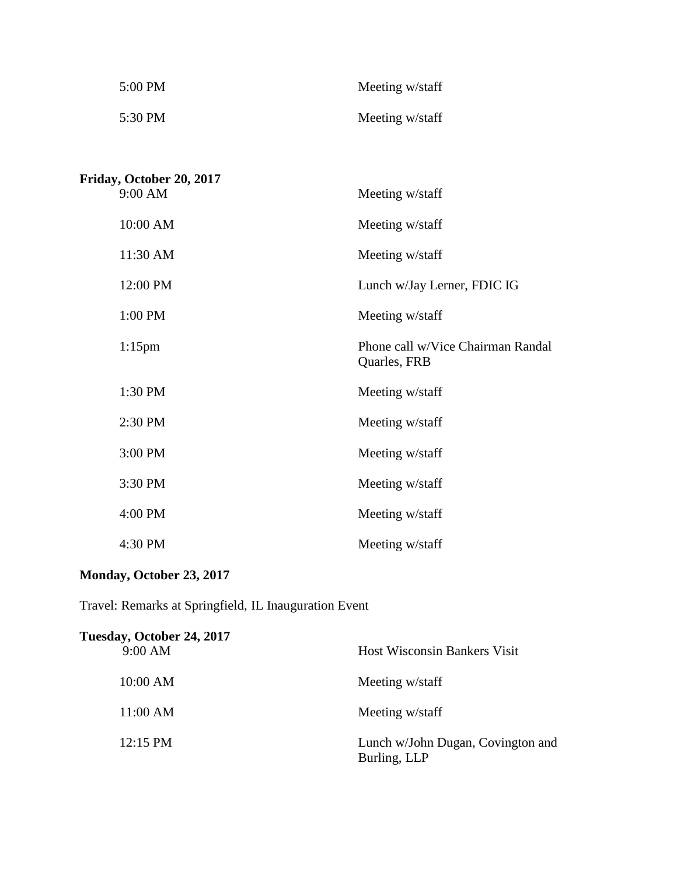| $5:00 \text{ PM}$ | Meeting w/staff |
|-------------------|-----------------|
| 5:30 PM           | Meeting w/staff |

**Friday, October 20, 2017** 9:00 AM Meeting w/staff 10:00 AM Meeting w/staff 11:30 AM Meeting w/staff 12:00 PM Lunch w/Jay Lerner, FDIC IG 1:00 PM Meeting w/staff 1:15pm Phone call w/Vice Chairman Randal Quarles, FRB 1:30 PM Meeting w/staff 2:30 PM Meeting w/staff 3:00 PM Meeting w/staff 3:30 PM Meeting w/staff 4:00 PM Meeting w/staff 4:30 PM Meeting w/staff

#### **Monday, October 23, 2017**

Travel: Remarks at Springfield, IL Inauguration Event

| Tuesday, October 24, 2017 |                                                   |
|---------------------------|---------------------------------------------------|
| 9:00 AM                   | <b>Host Wisconsin Bankers Visit</b>               |
| 10:00 AM                  | Meeting w/staff                                   |
| 11:00 AM                  | Meeting w/staff                                   |
| 12:15 PM                  | Lunch w/John Dugan, Covington and<br>Burling, LLP |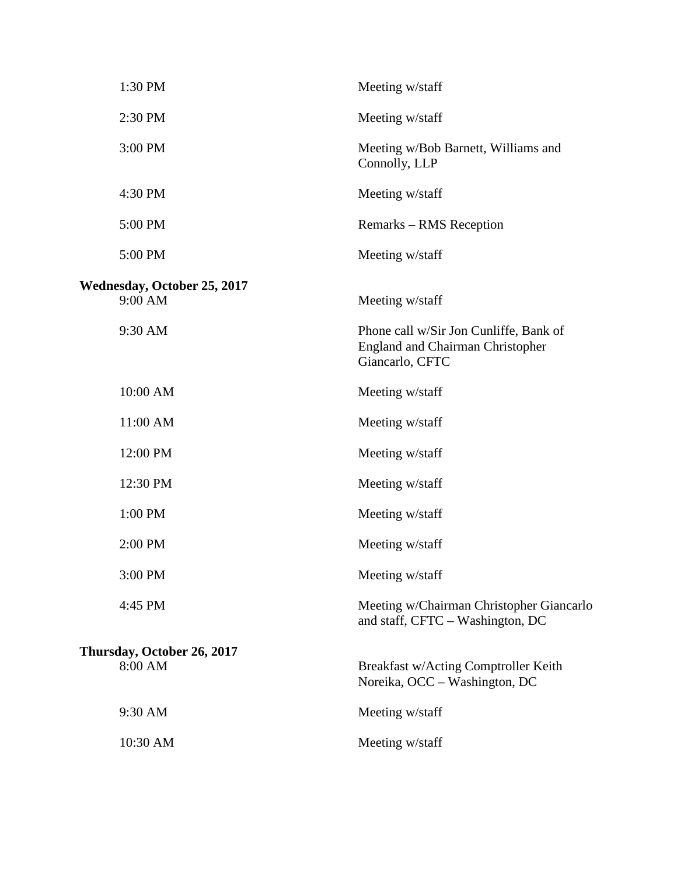| 1:30 PM                                       | Meeting w/staff                                                                                      |
|-----------------------------------------------|------------------------------------------------------------------------------------------------------|
| 2:30 PM                                       | Meeting w/staff                                                                                      |
| 3:00 PM                                       | Meeting w/Bob Barnett, Williams and<br>Connolly, LLP                                                 |
| 4:30 PM                                       | Meeting w/staff                                                                                      |
| 5:00 PM                                       | Remarks – RMS Reception                                                                              |
| 5:00 PM                                       | Meeting w/staff                                                                                      |
| <b>Wednesday, October 25, 2017</b><br>9:00 AM | Meeting w/staff                                                                                      |
| 9:30 AM                                       | Phone call w/Sir Jon Cunliffe, Bank of<br><b>England and Chairman Christopher</b><br>Giancarlo, CFTC |
| 10:00 AM                                      | Meeting w/staff                                                                                      |
| 11:00 AM                                      | Meeting w/staff                                                                                      |
| 12:00 PM                                      | Meeting w/staff                                                                                      |
| 12:30 PM                                      | Meeting w/staff                                                                                      |
| 1:00 PM                                       | Meeting w/staff                                                                                      |
| 2:00 PM                                       | Meeting w/staff                                                                                      |
| 3:00 PM                                       | Meeting w/staff                                                                                      |
| 4:45 PM                                       | Meeting w/Chairman Christopher Giancarlo<br>and staff, CFTC - Washington, DC                         |
| Thursday, October 26, 2017<br>8:00 AM         | Breakfast w/Acting Comptroller Keith<br>Noreika, OCC - Washington, DC                                |
| 9:30 AM                                       | Meeting w/staff                                                                                      |
| 10:30 AM                                      | Meeting w/staff                                                                                      |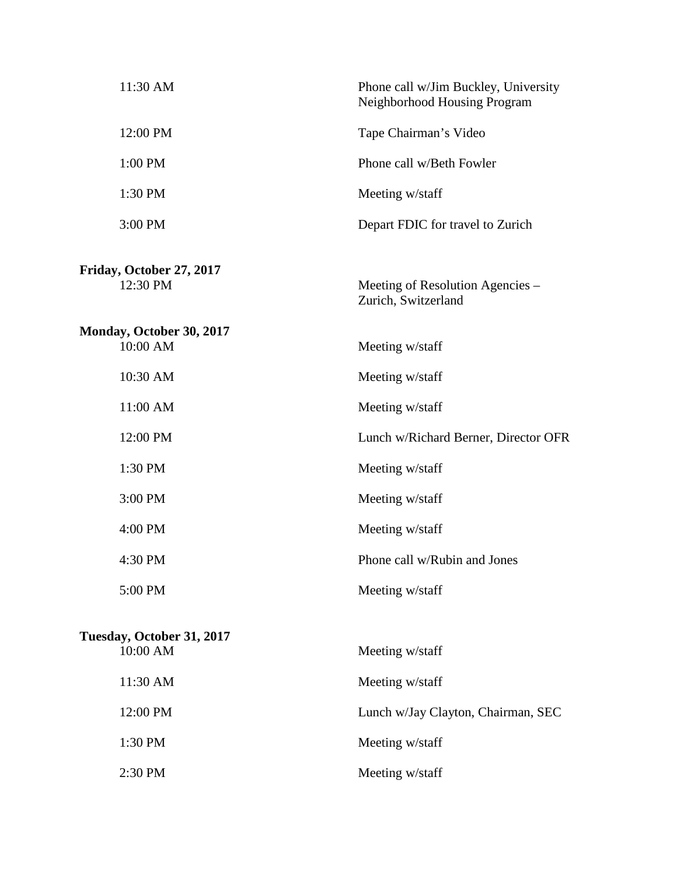| 11:30 AM                              | Phone call w/Jim Buckley, University<br>Neighborhood Housing Program |
|---------------------------------------|----------------------------------------------------------------------|
| 12:00 PM                              | Tape Chairman's Video                                                |
| 1:00 PM                               | Phone call w/Beth Fowler                                             |
| 1:30 PM                               | Meeting w/staff                                                      |
| 3:00 PM                               | Depart FDIC for travel to Zurich                                     |
| Friday, October 27, 2017<br>12:30 PM  | Meeting of Resolution Agencies –<br>Zurich, Switzerland              |
| Monday, October 30, 2017<br>10:00 AM  | Meeting w/staff                                                      |
| 10:30 AM                              | Meeting w/staff                                                      |
| 11:00 AM                              | Meeting w/staff                                                      |
| 12:00 PM                              | Lunch w/Richard Berner, Director OFR                                 |
| 1:30 PM                               | Meeting w/staff                                                      |
| 3:00 PM                               | Meeting w/staff                                                      |
| 4:00 PM                               | Meeting w/staff                                                      |
| 4:30 PM                               | Phone call w/Rubin and Jones                                         |
| 5:00 PM                               | Meeting w/staff                                                      |
| Tuesday, October 31, 2017<br>10:00 AM | Meeting w/staff                                                      |
| 11:30 AM                              | Meeting w/staff                                                      |
| 12:00 PM                              | Lunch w/Jay Clayton, Chairman, SEC                                   |
| 1:30 PM                               | Meeting w/staff                                                      |
| 2:30 PM                               | Meeting w/staff                                                      |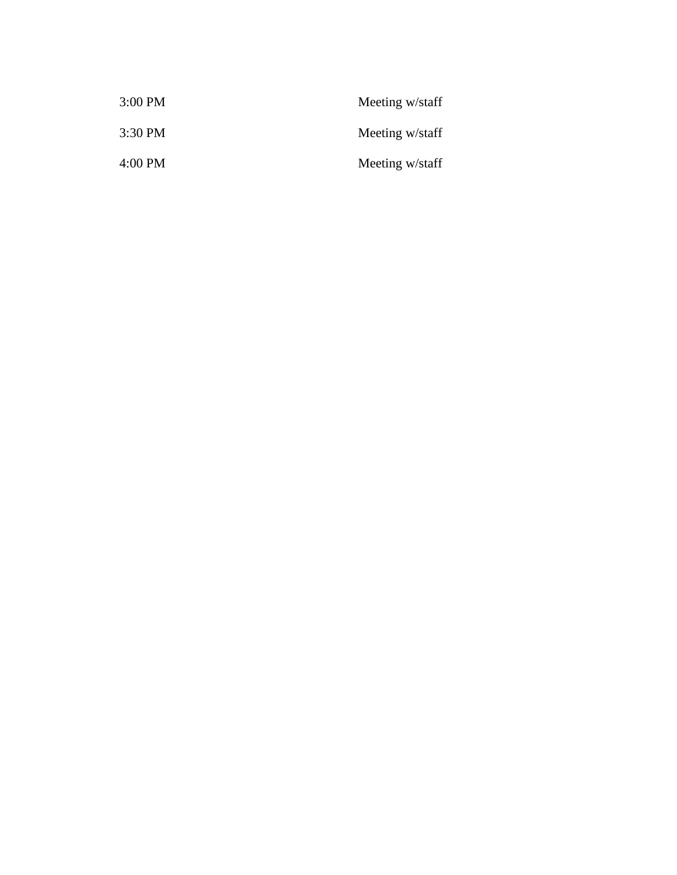| 3:00 PM   | Meeting w/staff |
|-----------|-----------------|
| $3:30$ PM | Meeting w/staff |
| 4:00 PM   | Meeting w/staff |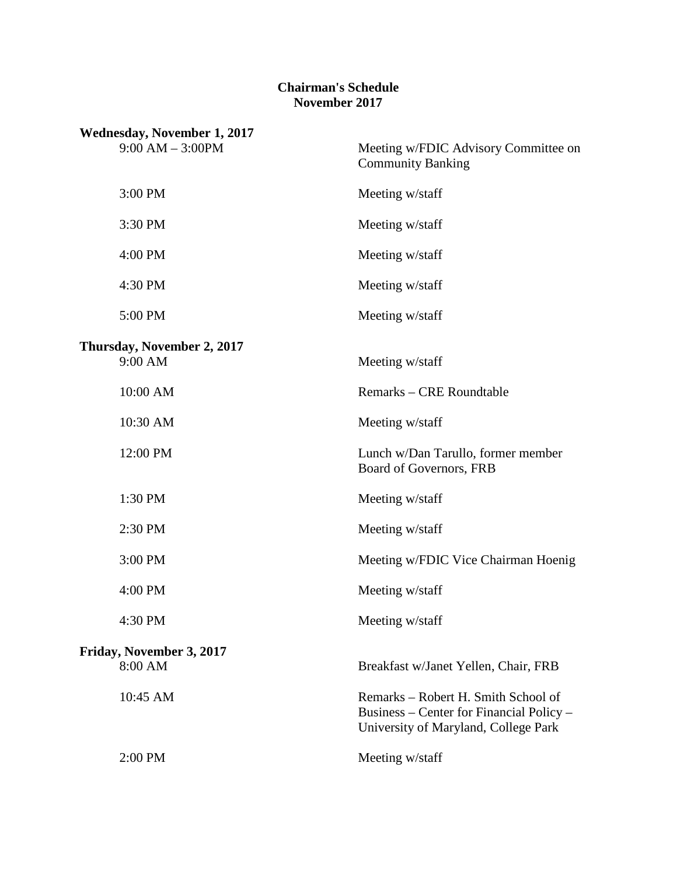#### **Chairman's Schedule November 2017**

| <b>Wednesday, November 1, 2017</b><br>$9:00 AM - 3:00PM$ | Meeting w/FDIC Advisory Committee on<br><b>Community Banking</b>                                                        |
|----------------------------------------------------------|-------------------------------------------------------------------------------------------------------------------------|
| 3:00 PM                                                  | Meeting w/staff                                                                                                         |
| 3:30 PM                                                  | Meeting w/staff                                                                                                         |
| 4:00 PM                                                  | Meeting w/staff                                                                                                         |
| 4:30 PM                                                  | Meeting w/staff                                                                                                         |
| 5:00 PM                                                  | Meeting w/staff                                                                                                         |
| Thursday, November 2, 2017<br>9:00 AM                    | Meeting w/staff                                                                                                         |
| 10:00 AM                                                 | Remarks – CRE Roundtable                                                                                                |
| 10:30 AM                                                 | Meeting w/staff                                                                                                         |
| 12:00 PM                                                 | Lunch w/Dan Tarullo, former member<br>Board of Governors, FRB                                                           |
| 1:30 PM                                                  | Meeting w/staff                                                                                                         |
| 2:30 PM                                                  | Meeting w/staff                                                                                                         |
| 3:00 PM                                                  | Meeting w/FDIC Vice Chairman Hoenig                                                                                     |
| 4:00 PM                                                  | Meeting w/staff                                                                                                         |
| 4:30 PM                                                  | Meeting w/staff                                                                                                         |
| Friday, November 3, 2017<br>8:00 AM                      | Breakfast w/Janet Yellen, Chair, FRB                                                                                    |
| 10:45 AM                                                 | Remarks – Robert H. Smith School of<br>Business – Center for Financial Policy –<br>University of Maryland, College Park |
| 2:00 PM                                                  | Meeting w/staff                                                                                                         |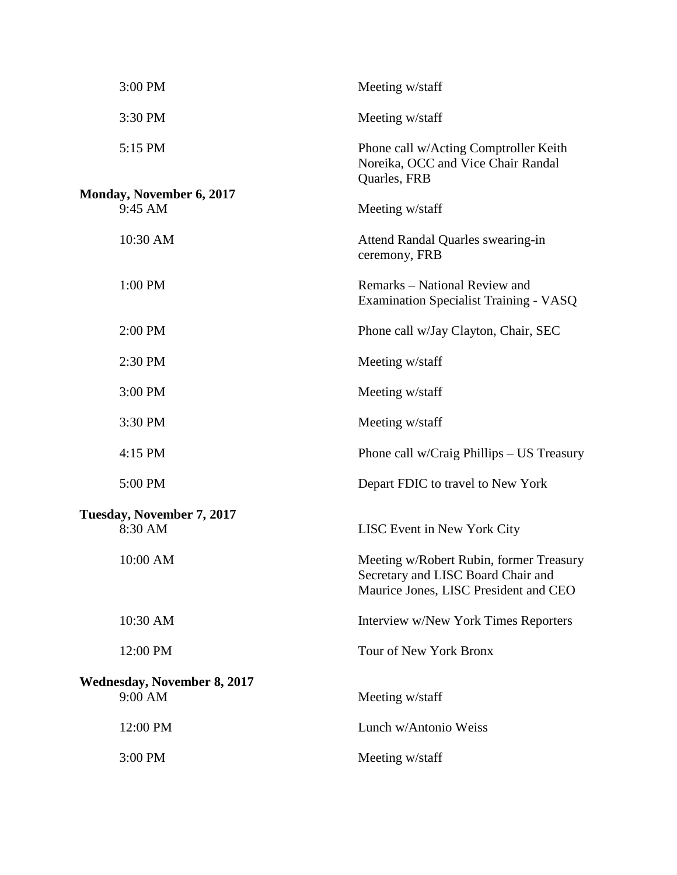| 3:00 PM                                       | Meeting w/staff                                                                                                        |
|-----------------------------------------------|------------------------------------------------------------------------------------------------------------------------|
| 3:30 PM                                       | Meeting w/staff                                                                                                        |
| 5:15 PM                                       | Phone call w/Acting Comptroller Keith<br>Noreika, OCC and Vice Chair Randal<br>Quarles, FRB                            |
| <b>Monday, November 6, 2017</b><br>9:45 AM    | Meeting w/staff                                                                                                        |
| 10:30 AM                                      | Attend Randal Quarles swearing-in<br>ceremony, FRB                                                                     |
| 1:00 PM                                       | Remarks – National Review and<br><b>Examination Specialist Training - VASQ</b>                                         |
| 2:00 PM                                       | Phone call w/Jay Clayton, Chair, SEC                                                                                   |
| 2:30 PM                                       | Meeting w/staff                                                                                                        |
| 3:00 PM                                       | Meeting w/staff                                                                                                        |
| 3:30 PM                                       | Meeting w/staff                                                                                                        |
| 4:15 PM                                       | Phone call w/Craig Phillips – US Treasury                                                                              |
| 5:00 PM                                       | Depart FDIC to travel to New York                                                                                      |
| Tuesday, November 7, 2017<br>8:30 AM          | LISC Event in New York City                                                                                            |
| 10:00 AM                                      | Meeting w/Robert Rubin, former Treasury<br>Secretary and LISC Board Chair and<br>Maurice Jones, LISC President and CEO |
| 10:30 AM                                      | Interview w/New York Times Reporters                                                                                   |
| 12:00 PM                                      | Tour of New York Bronx                                                                                                 |
| <b>Wednesday, November 8, 2017</b><br>9:00 AM | Meeting w/staff                                                                                                        |
| 12:00 PM                                      | Lunch w/Antonio Weiss                                                                                                  |
| 3:00 PM                                       | Meeting w/staff                                                                                                        |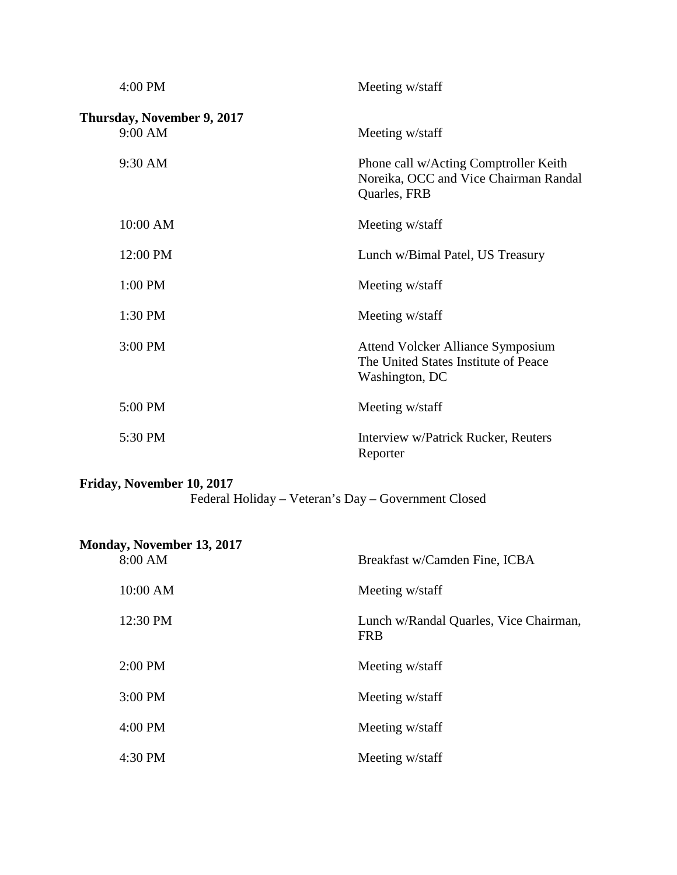| 4:00 PM                               | Meeting w/staff                                                                                    |
|---------------------------------------|----------------------------------------------------------------------------------------------------|
| Thursday, November 9, 2017<br>9:00 AM | Meeting w/staff                                                                                    |
| 9:30 AM                               | Phone call w/Acting Comptroller Keith<br>Noreika, OCC and Vice Chairman Randal<br>Quarles, FRB     |
| 10:00 AM                              | Meeting w/staff                                                                                    |
| 12:00 PM                              | Lunch w/Bimal Patel, US Treasury                                                                   |
| 1:00 PM                               | Meeting w/staff                                                                                    |
| 1:30 PM                               | Meeting w/staff                                                                                    |
| 3:00 PM                               | <b>Attend Volcker Alliance Symposium</b><br>The United States Institute of Peace<br>Washington, DC |
| 5:00 PM                               | Meeting w/staff                                                                                    |
| 5:30 PM                               | Interview w/Patrick Rucker, Reuters<br>Reporter                                                    |

#### **Friday, November 10, 2017**

Federal Holiday – Veteran's Day – Government Closed

| Monday, November 13, 2017<br>8:00 AM | Breakfast w/Camden Fine, ICBA                        |
|--------------------------------------|------------------------------------------------------|
|                                      |                                                      |
| 10:00 AM                             | Meeting w/staff                                      |
| 12:30 PM                             | Lunch w/Randal Quarles, Vice Chairman,<br><b>FRB</b> |
| $2:00$ PM                            | Meeting w/staff                                      |
| 3:00 PM                              | Meeting w/staff                                      |
| 4:00 PM                              | Meeting w/staff                                      |
| 4:30 PM                              | Meeting w/staff                                      |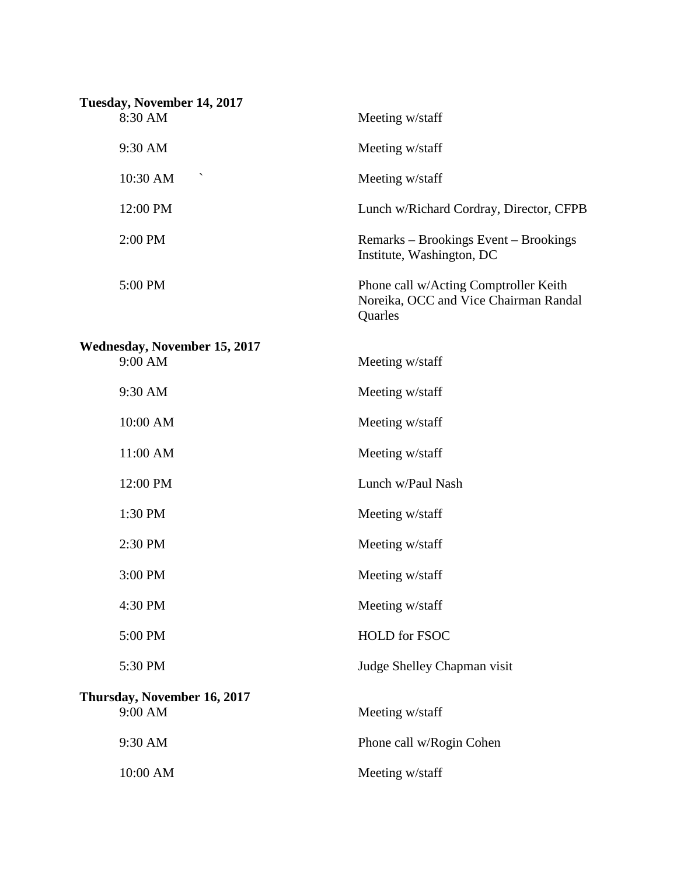| Tuesday, November 14, 2017<br>8:30 AM          | Meeting w/staff                                                                           |
|------------------------------------------------|-------------------------------------------------------------------------------------------|
| 9:30 AM                                        | Meeting w/staff                                                                           |
| 10:30 AM                                       | Meeting w/staff                                                                           |
| 12:00 PM                                       | Lunch w/Richard Cordray, Director, CFPB                                                   |
| 2:00 PM                                        | Remarks – Brookings Event – Brookings<br>Institute, Washington, DC                        |
| 5:00 PM                                        | Phone call w/Acting Comptroller Keith<br>Noreika, OCC and Vice Chairman Randal<br>Quarles |
| <b>Wednesday, November 15, 2017</b><br>9:00 AM | Meeting w/staff                                                                           |
| 9:30 AM                                        | Meeting w/staff                                                                           |
| 10:00 AM                                       | Meeting w/staff                                                                           |
| 11:00 AM                                       | Meeting w/staff                                                                           |
| 12:00 PM                                       | Lunch w/Paul Nash                                                                         |
| 1:30 PM                                        | Meeting w/staff                                                                           |
| 2:30 PM                                        | Meeting w/staff                                                                           |
| 3:00 PM                                        | Meeting w/staff                                                                           |
| 4:30 PM                                        | Meeting w/staff                                                                           |
| 5:00 PM                                        | <b>HOLD</b> for FSOC                                                                      |
| 5:30 PM                                        | Judge Shelley Chapman visit                                                               |
| Thursday, November 16, 2017<br>9:00 AM         | Meeting w/staff                                                                           |
| 9:30 AM                                        | Phone call w/Rogin Cohen                                                                  |
| 10:00 AM                                       | Meeting w/staff                                                                           |
|                                                |                                                                                           |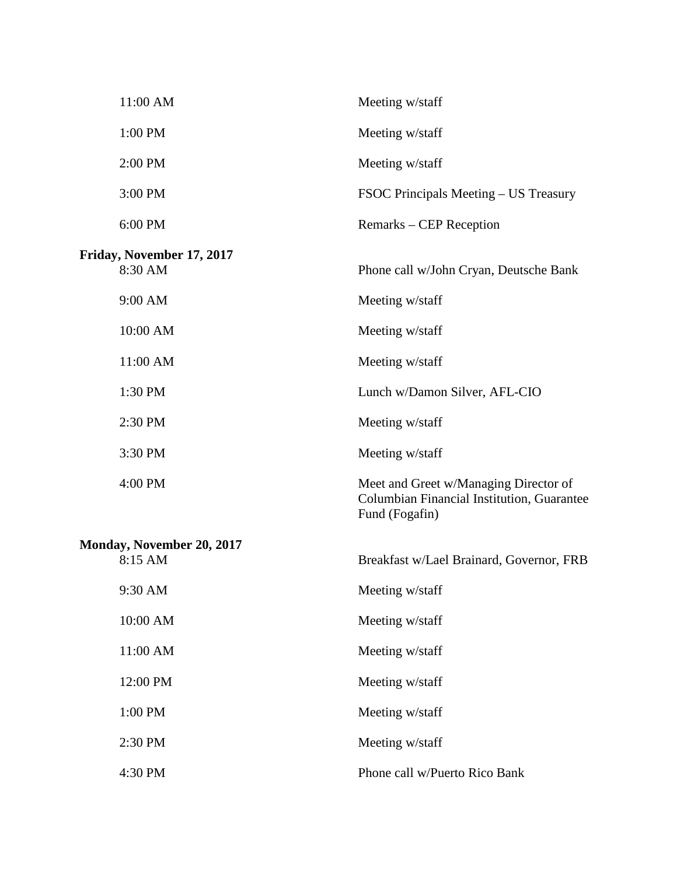| 11:00 AM                                    | Meeting w/staff                                                                                       |
|---------------------------------------------|-------------------------------------------------------------------------------------------------------|
| 1:00 PM                                     | Meeting w/staff                                                                                       |
| 2:00 PM                                     | Meeting w/staff                                                                                       |
| 3:00 PM                                     | FSOC Principals Meeting – US Treasury                                                                 |
| 6:00 PM                                     | Remarks – CEP Reception                                                                               |
| Friday, November 17, 2017<br>8:30 AM        | Phone call w/John Cryan, Deutsche Bank                                                                |
| 9:00 AM                                     | Meeting w/staff                                                                                       |
| 10:00 AM                                    | Meeting w/staff                                                                                       |
| 11:00 AM                                    | Meeting w/staff                                                                                       |
| 1:30 PM                                     | Lunch w/Damon Silver, AFL-CIO                                                                         |
| 2:30 PM                                     | Meeting w/staff                                                                                       |
| 3:30 PM                                     | Meeting w/staff                                                                                       |
| 4:00 PM                                     | Meet and Greet w/Managing Director of<br>Columbian Financial Institution, Guarantee<br>Fund (Fogafin) |
| <b>Monday, November 20, 2017</b><br>8:15 AM | Breakfast w/Lael Brainard, Governor, FRB                                                              |
| 9:30 AM                                     | Meeting w/staff                                                                                       |
| 10:00 AM                                    | Meeting w/staff                                                                                       |
| 11:00 AM                                    | Meeting w/staff                                                                                       |
| 12:00 PM                                    | Meeting w/staff                                                                                       |
| 1:00 PM                                     | Meeting w/staff                                                                                       |
| 2:30 PM                                     | Meeting w/staff                                                                                       |
| 4:30 PM                                     | Phone call w/Puerto Rico Bank                                                                         |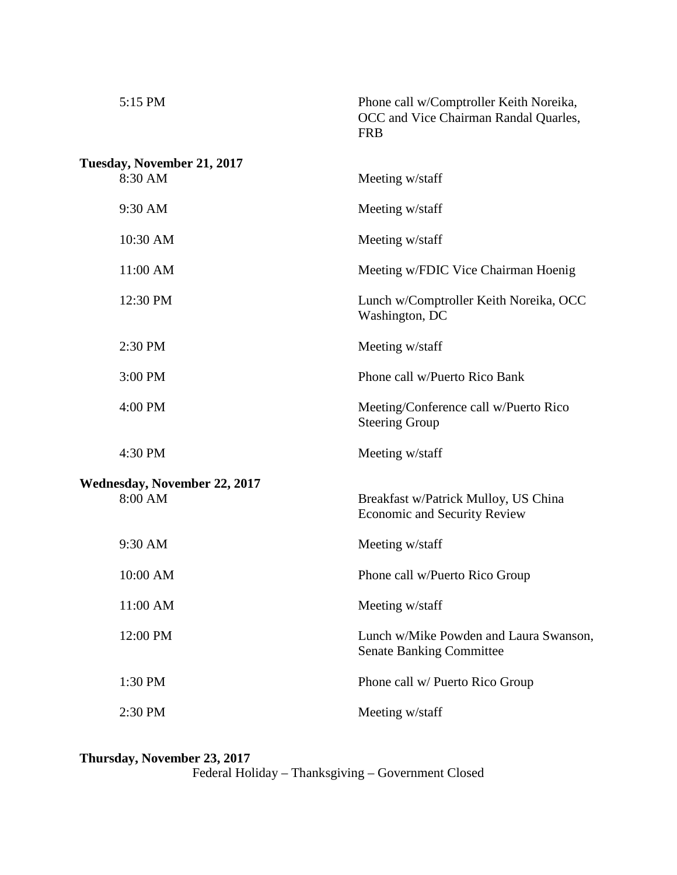| 5:15 PM                    |                              | Phone call w/Comptroller Keith Noreika,<br>OCC and Vice Chairman Randal Quarles,<br><b>FRB</b> |
|----------------------------|------------------------------|------------------------------------------------------------------------------------------------|
| Tuesday, November 21, 2017 |                              |                                                                                                |
| 8:30 AM                    |                              | Meeting w/staff                                                                                |
| 9:30 AM                    |                              | Meeting w/staff                                                                                |
| 10:30 AM                   |                              | Meeting w/staff                                                                                |
| 11:00 AM                   |                              | Meeting w/FDIC Vice Chairman Hoenig                                                            |
| 12:30 PM                   |                              | Lunch w/Comptroller Keith Noreika, OCC<br>Washington, DC                                       |
| 2:30 PM                    |                              | Meeting w/staff                                                                                |
| 3:00 PM                    |                              | Phone call w/Puerto Rico Bank                                                                  |
| 4:00 PM                    |                              | Meeting/Conference call w/Puerto Rico<br><b>Steering Group</b>                                 |
| 4:30 PM                    |                              | Meeting w/staff                                                                                |
|                            | Wednesday, November 22, 2017 |                                                                                                |
| 8:00 AM                    |                              | Breakfast w/Patrick Mulloy, US China<br><b>Economic and Security Review</b>                    |
| 9:30 AM                    |                              | Meeting w/staff                                                                                |
| 10:00 AM                   |                              | Phone call w/Puerto Rico Group                                                                 |
| 11:00 AM                   |                              | Meeting w/staff                                                                                |
| 12:00 PM                   |                              | Lunch w/Mike Powden and Laura Swanson,<br><b>Senate Banking Committee</b>                      |
| 1:30 PM                    |                              | Phone call w/ Puerto Rico Group                                                                |
| 2:30 PM                    |                              | Meeting w/staff                                                                                |
|                            |                              |                                                                                                |

**Thursday, November 23, 2017**  Federal Holiday – Thanksgiving – Government Closed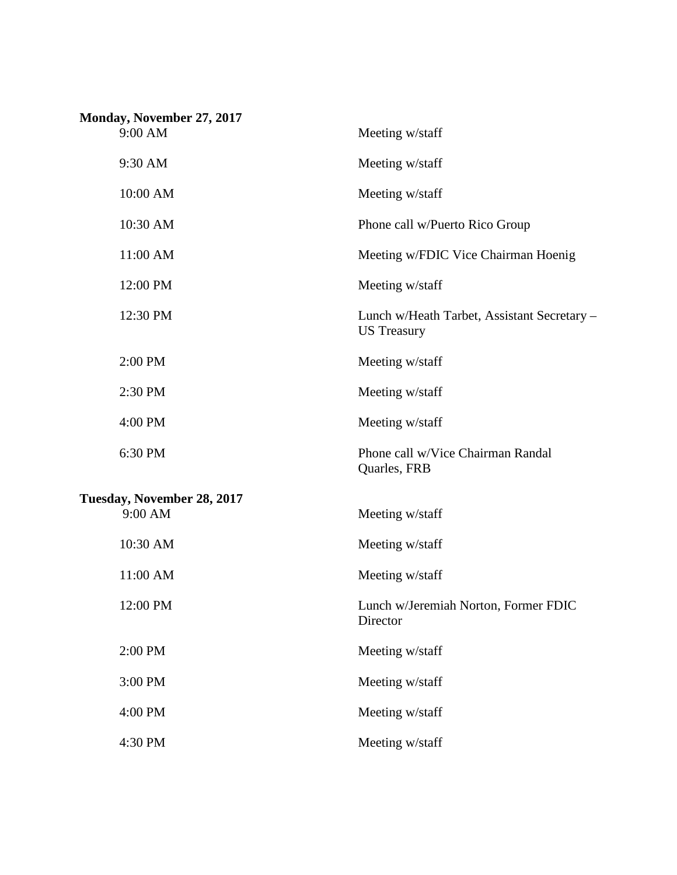| Monday, November 27, 2017             |                                                                   |
|---------------------------------------|-------------------------------------------------------------------|
| 9:00 AM                               | Meeting w/staff                                                   |
| 9:30 AM                               | Meeting w/staff                                                   |
| 10:00 AM                              | Meeting w/staff                                                   |
| 10:30 AM                              | Phone call w/Puerto Rico Group                                    |
| 11:00 AM                              | Meeting w/FDIC Vice Chairman Hoenig                               |
| 12:00 PM                              | Meeting w/staff                                                   |
| 12:30 PM                              | Lunch w/Heath Tarbet, Assistant Secretary -<br><b>US</b> Treasury |
| 2:00 PM                               | Meeting w/staff                                                   |
| 2:30 PM                               | Meeting w/staff                                                   |
| 4:00 PM                               | Meeting w/staff                                                   |
| 6:30 PM                               | Phone call w/Vice Chairman Randal<br>Quarles, FRB                 |
| Tuesday, November 28, 2017<br>9:00 AM | Meeting w/staff                                                   |
| 10:30 AM                              | Meeting w/staff                                                   |
| 11:00 AM                              | Meeting w/staff                                                   |
| 12:00 PM                              | Lunch w/Jeremiah Norton, Former FDIC<br>Director                  |
| 2:00 PM                               | Meeting w/staff                                                   |
| 3:00 PM                               | Meeting w/staff                                                   |
| 4:00 PM                               | Meeting w/staff                                                   |
| 4:30 PM                               | Meeting w/staff                                                   |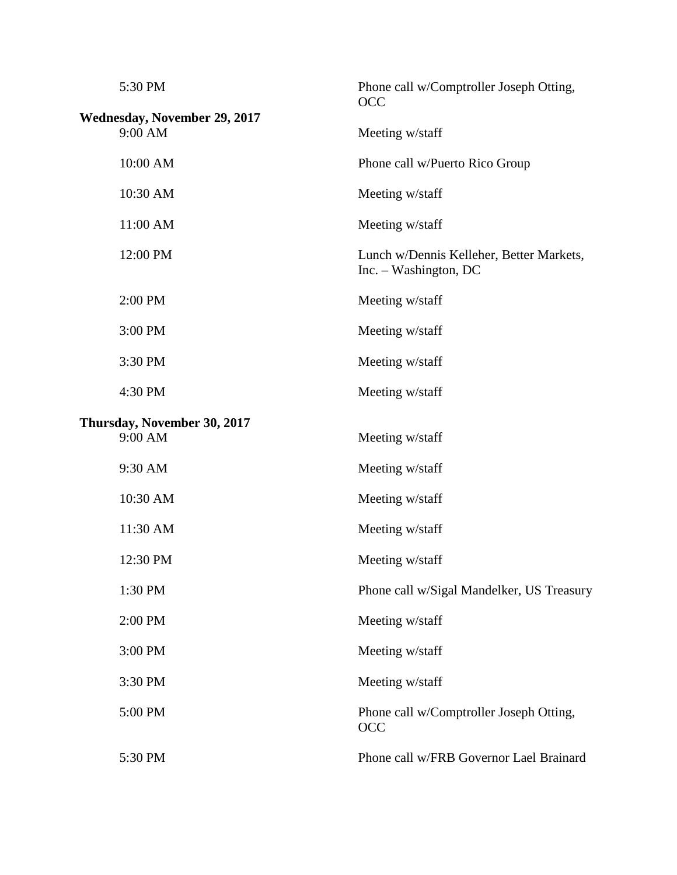| 5:30 PM<br>Wednesday, November 29, 2017<br>9:00 AM | Phone call w/Comptroller Joseph Otting,<br><b>OCC</b>             |
|----------------------------------------------------|-------------------------------------------------------------------|
|                                                    | Meeting w/staff                                                   |
| 10:00 AM                                           | Phone call w/Puerto Rico Group                                    |
| 10:30 AM                                           | Meeting w/staff                                                   |
| 11:00 AM                                           | Meeting w/staff                                                   |
| 12:00 PM                                           | Lunch w/Dennis Kelleher, Better Markets,<br>Inc. - Washington, DC |
| 2:00 PM                                            | Meeting w/staff                                                   |
| 3:00 PM                                            | Meeting w/staff                                                   |
| 3:30 PM                                            | Meeting w/staff                                                   |
| 4:30 PM                                            | Meeting w/staff                                                   |
| Thursday, November 30, 2017<br>9:00 AM             | Meeting w/staff                                                   |
| 9:30 AM                                            | Meeting w/staff                                                   |
| 10:30 AM                                           | Meeting w/staff                                                   |
| 11:30 AM                                           | Meeting w/staff                                                   |
| 12:30 PM                                           | Meeting w/staff                                                   |
| 1:30 PM                                            | Phone call w/Sigal Mandelker, US Treasury                         |
| 2:00 PM                                            | Meeting w/staff                                                   |
| 3:00 PM                                            | Meeting w/staff                                                   |
| 3:30 PM                                            | Meeting w/staff                                                   |
| 5:00 PM                                            | Phone call w/Comptroller Joseph Otting,<br>OCC                    |
| 5:30 PM                                            | Phone call w/FRB Governor Lael Brainard                           |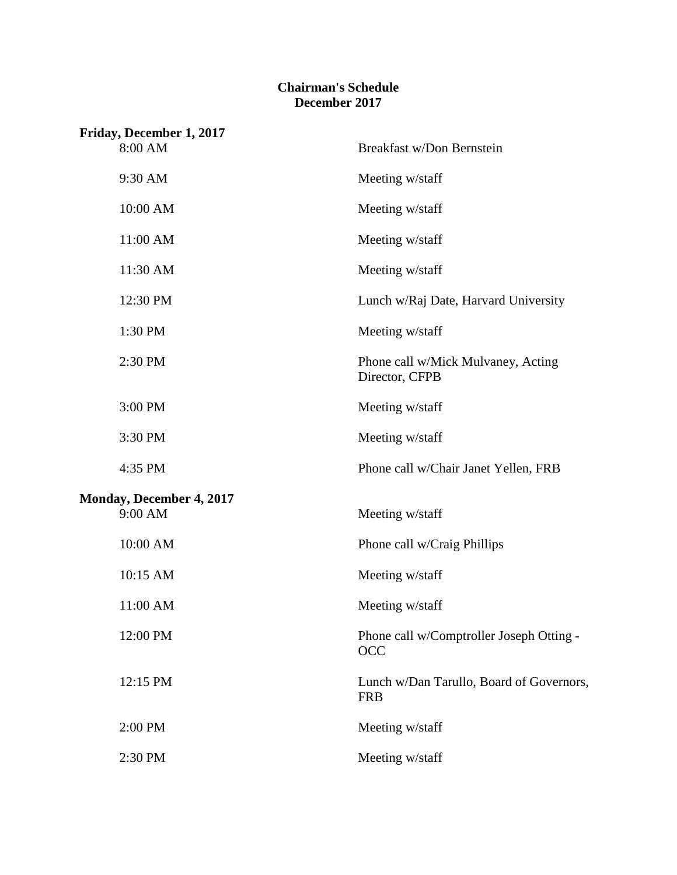### **Chairman's Schedule December 2017**

| Friday, December 1, 2017        |                                                        |
|---------------------------------|--------------------------------------------------------|
| 8:00 AM                         | Breakfast w/Don Bernstein                              |
| 9:30 AM                         | Meeting w/staff                                        |
| 10:00 AM                        | Meeting w/staff                                        |
| 11:00 AM                        | Meeting w/staff                                        |
| 11:30 AM                        | Meeting w/staff                                        |
| 12:30 PM                        | Lunch w/Raj Date, Harvard University                   |
| 1:30 PM                         | Meeting w/staff                                        |
| 2:30 PM                         | Phone call w/Mick Mulvaney, Acting<br>Director, CFPB   |
| 3:00 PM                         | Meeting w/staff                                        |
| 3:30 PM                         | Meeting w/staff                                        |
| 4:35 PM                         | Phone call w/Chair Janet Yellen, FRB                   |
| <b>Monday, December 4, 2017</b> |                                                        |
| 9:00 AM                         | Meeting w/staff                                        |
| 10:00 AM                        | Phone call w/Craig Phillips                            |
| 10:15 AM                        | Meeting w/staff                                        |
| 11:00 AM                        | Meeting w/staff                                        |
| 12:00 PM                        | Phone call w/Comptroller Joseph Otting -<br><b>OCC</b> |
| 12:15 PM                        | Lunch w/Dan Tarullo, Board of Governors,<br><b>FRB</b> |
| 2:00 PM                         | Meeting w/staff                                        |
| 2:30 PM                         | Meeting w/staff                                        |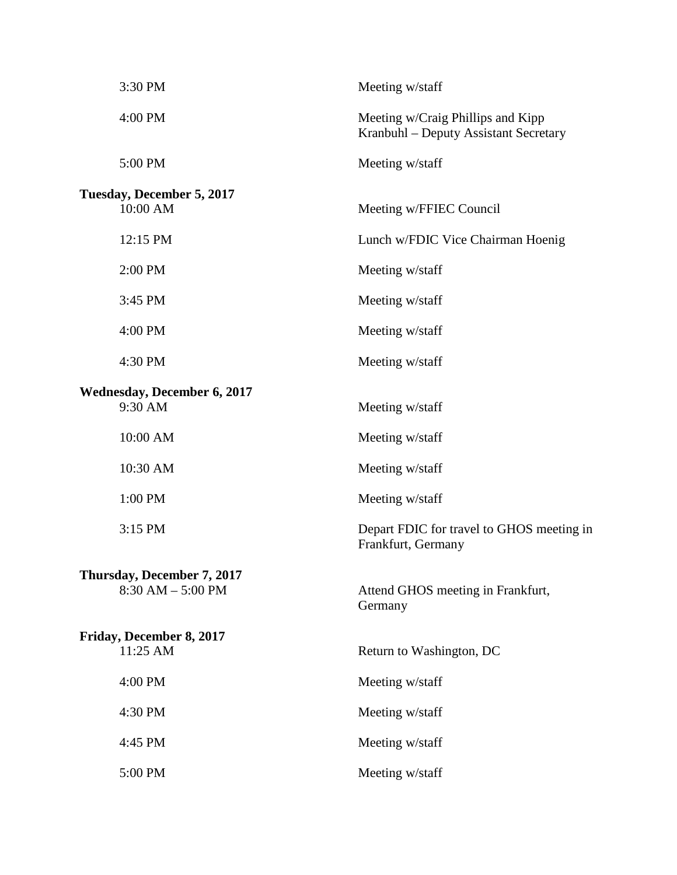| 3:30 PM                            | Meeting w/staff                                                            |
|------------------------------------|----------------------------------------------------------------------------|
| 4:00 PM                            | Meeting w/Craig Phillips and Kipp<br>Kranbuhl – Deputy Assistant Secretary |
| 5:00 PM                            | Meeting w/staff                                                            |
| Tuesday, December 5, 2017          |                                                                            |
| 10:00 AM                           | Meeting w/FFIEC Council                                                    |
| 12:15 PM                           | Lunch w/FDIC Vice Chairman Hoenig                                          |
| 2:00 PM                            | Meeting w/staff                                                            |
| 3:45 PM                            | Meeting w/staff                                                            |
| 4:00 PM                            | Meeting w/staff                                                            |
| 4:30 PM                            | Meeting w/staff                                                            |
| <b>Wednesday, December 6, 2017</b> |                                                                            |
| 9:30 AM                            | Meeting w/staff                                                            |
| 10:00 AM                           | Meeting w/staff                                                            |
| 10:30 AM                           | Meeting w/staff                                                            |
| 1:00 PM                            | Meeting w/staff                                                            |
| 3:15 PM                            | Depart FDIC for travel to GHOS meeting in<br>Frankfurt, Germany            |
| Thursday, December 7, 2017         |                                                                            |
| $8:30$ AM $-5:00$ PM               | Attend GHOS meeting in Frankfurt,<br>Germany                               |
| Friday, December 8, 2017           |                                                                            |
| 11:25 AM                           | Return to Washington, DC                                                   |
| 4:00 PM                            | Meeting w/staff                                                            |
| 4:30 PM                            | Meeting w/staff                                                            |
| 4:45 PM                            | Meeting w/staff                                                            |
| 5:00 PM                            | Meeting w/staff                                                            |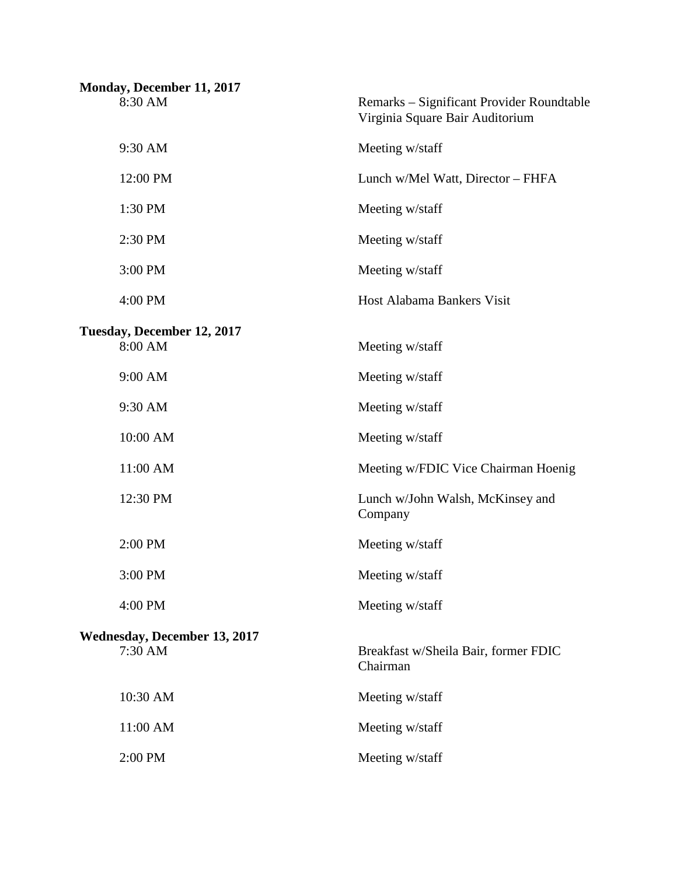| Monday, December 11, 2017  |                                     |                                                                              |
|----------------------------|-------------------------------------|------------------------------------------------------------------------------|
| 8:30 AM                    |                                     | Remarks - Significant Provider Roundtable<br>Virginia Square Bair Auditorium |
| 9:30 AM                    |                                     | Meeting w/staff                                                              |
| 12:00 PM                   |                                     | Lunch w/Mel Watt, Director - FHFA                                            |
| 1:30 PM                    |                                     | Meeting w/staff                                                              |
| 2:30 PM                    |                                     | Meeting w/staff                                                              |
| 3:00 PM                    |                                     | Meeting w/staff                                                              |
| 4:00 PM                    |                                     | Host Alabama Bankers Visit                                                   |
| Tuesday, December 12, 2017 |                                     |                                                                              |
| 8:00 AM                    |                                     | Meeting w/staff                                                              |
| 9:00 AM                    |                                     | Meeting w/staff                                                              |
| 9:30 AM                    |                                     | Meeting w/staff                                                              |
| 10:00 AM                   |                                     | Meeting w/staff                                                              |
| 11:00 AM                   |                                     | Meeting w/FDIC Vice Chairman Hoenig                                          |
| 12:30 PM                   |                                     | Lunch w/John Walsh, McKinsey and<br>Company                                  |
| 2:00 PM                    |                                     | Meeting w/staff                                                              |
| 3:00 PM                    |                                     | Meeting w/staff                                                              |
| 4:00 PM                    |                                     | Meeting w/staff                                                              |
| 7:30 AM                    | <b>Wednesday, December 13, 2017</b> | Breakfast w/Sheila Bair, former FDIC<br>Chairman                             |
| 10:30 AM                   |                                     | Meeting w/staff                                                              |
| 11:00 AM                   |                                     | Meeting w/staff                                                              |
| 2:00 PM                    |                                     | Meeting w/staff                                                              |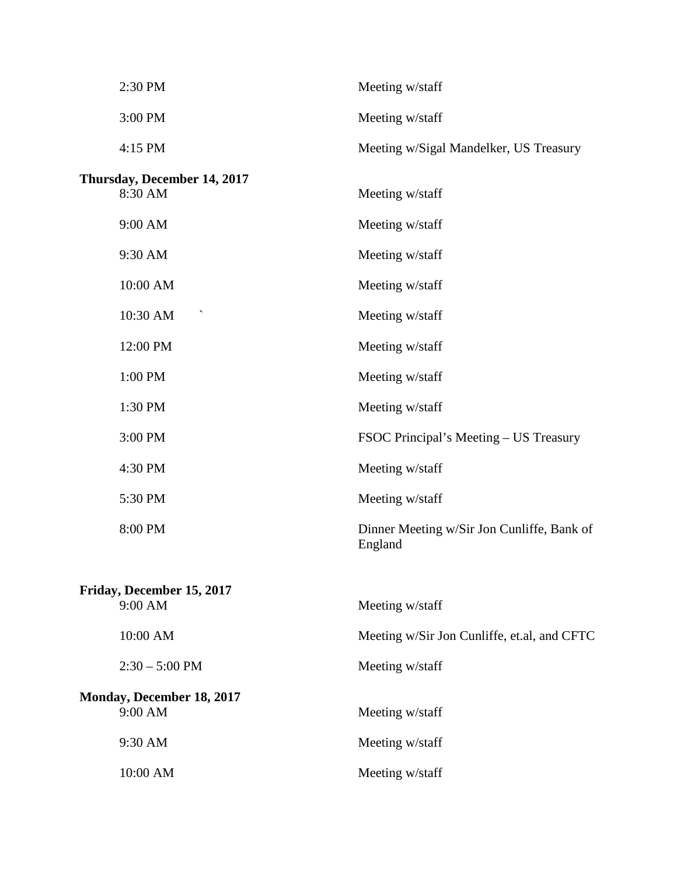| 2:30 PM                                | Meeting w/staff                                       |
|----------------------------------------|-------------------------------------------------------|
| 3:00 PM                                | Meeting w/staff                                       |
| 4:15 PM                                | Meeting w/Sigal Mandelker, US Treasury                |
| Thursday, December 14, 2017<br>8:30 AM | Meeting w/staff                                       |
| 9:00 AM                                | Meeting w/staff                                       |
| 9:30 AM                                | Meeting w/staff                                       |
| 10:00 AM                               | Meeting w/staff                                       |
| 10:30 AM                               | Meeting w/staff                                       |
| 12:00 PM                               | Meeting w/staff                                       |
| 1:00 PM                                | Meeting w/staff                                       |
| 1:30 PM                                | Meeting w/staff                                       |
| 3:00 PM                                | FSOC Principal's Meeting – US Treasury                |
| 4:30 PM                                | Meeting w/staff                                       |
| 5:30 PM                                | Meeting w/staff                                       |
| 8:00 PM                                | Dinner Meeting w/Sir Jon Cunliffe, Bank of<br>England |
| Friday, December 15, 2017<br>9:00 AM   | Meeting w/staff                                       |
| 10:00 AM                               | Meeting w/Sir Jon Cunliffe, et.al, and CFTC           |
| $2:30 - 5:00$ PM                       | Meeting w/staff                                       |
| Monday, December 18, 2017<br>9:00 AM   | Meeting w/staff                                       |
| 9:30 AM                                | Meeting w/staff                                       |
| 10:00 AM                               | Meeting w/staff                                       |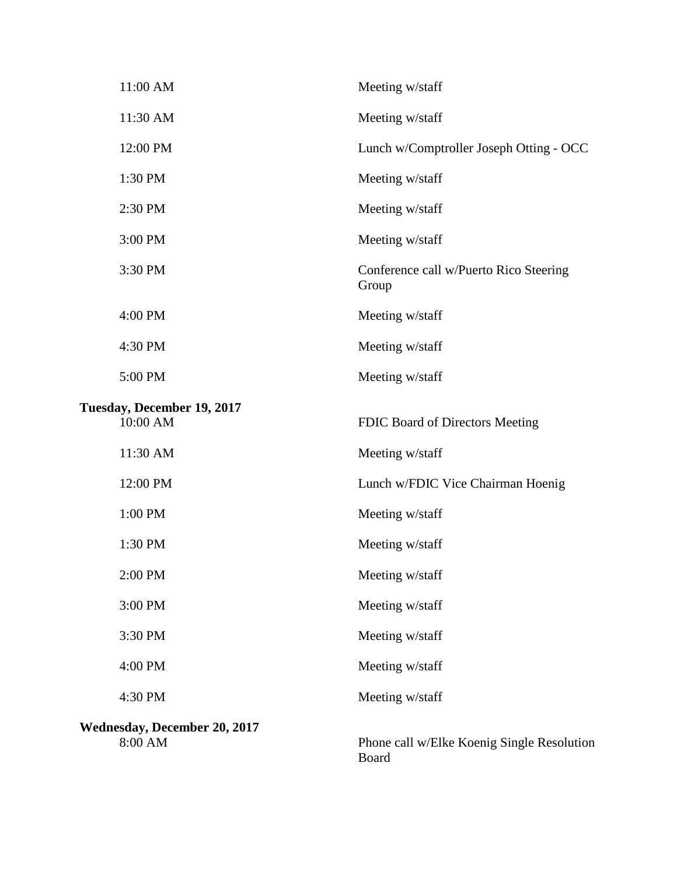| 11:00 AM                                       | Meeting w/staff                                 |
|------------------------------------------------|-------------------------------------------------|
| 11:30 AM                                       | Meeting w/staff                                 |
| 12:00 PM                                       | Lunch w/Comptroller Joseph Otting - OCC         |
| 1:30 PM                                        | Meeting w/staff                                 |
| 2:30 PM                                        | Meeting w/staff                                 |
| 3:00 PM                                        | Meeting w/staff                                 |
| 3:30 PM                                        | Conference call w/Puerto Rico Steering<br>Group |
| 4:00 PM                                        | Meeting w/staff                                 |
| 4:30 PM                                        | Meeting w/staff                                 |
| 5:00 PM                                        | Meeting w/staff                                 |
| Tuesday, December 19, 2017<br>10:00 AM         | FDIC Board of Directors Meeting                 |
| 11:30 AM                                       | Meeting w/staff                                 |
| 12:00 PM                                       | Lunch w/FDIC Vice Chairman Hoenig               |
| 1:00 PM                                        | Meeting w/staff                                 |
| 1:30 PM                                        | Meeting w/staff                                 |
| 2:00 PM                                        | Meeting w/staff                                 |
| 3:00 PM                                        | Meeting w/staff                                 |
| 3:30 PM                                        | Meeting w/staff                                 |
| 4:00 PM                                        | Meeting w/staff                                 |
| 4:30 PM                                        | Meeting w/staff                                 |
| <b>Wednesday, December 20, 2017</b><br>8:00 AM | Phone call w/Elke Koenig Single Resolutio       |

hig Single Resolution Board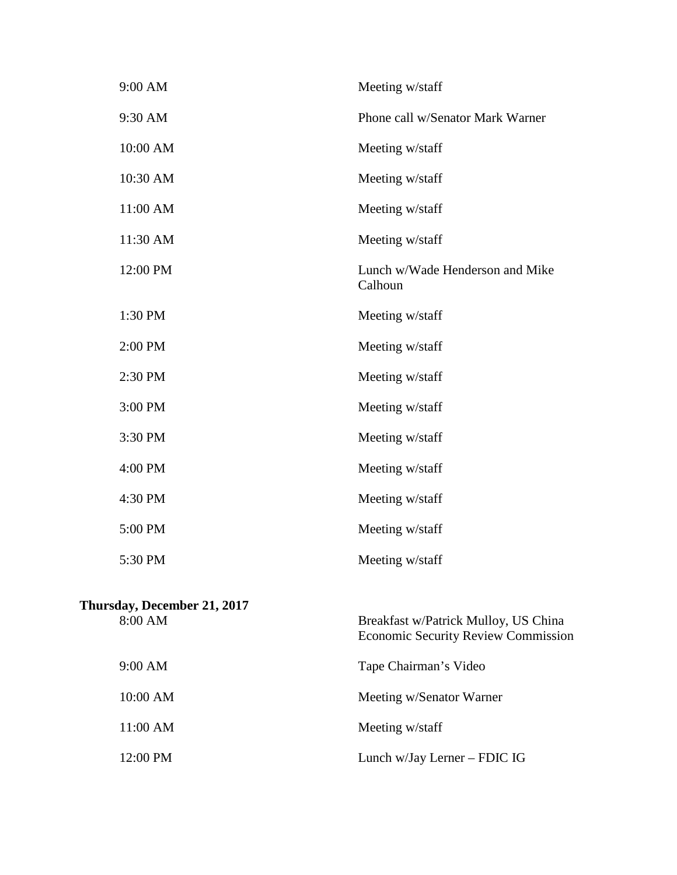| 9:00 AM                                | Meeting w/staff                                                                    |
|----------------------------------------|------------------------------------------------------------------------------------|
| 9:30 AM                                | Phone call w/Senator Mark Warner                                                   |
| 10:00 AM                               | Meeting w/staff                                                                    |
| 10:30 AM                               | Meeting w/staff                                                                    |
| 11:00 AM                               | Meeting w/staff                                                                    |
| 11:30 AM                               | Meeting w/staff                                                                    |
| 12:00 PM                               | Lunch w/Wade Henderson and Mike<br>Calhoun                                         |
| 1:30 PM                                | Meeting w/staff                                                                    |
| 2:00 PM                                | Meeting w/staff                                                                    |
| 2:30 PM                                | Meeting w/staff                                                                    |
| 3:00 PM                                | Meeting w/staff                                                                    |
| 3:30 PM                                | Meeting w/staff                                                                    |
| 4:00 PM                                | Meeting w/staff                                                                    |
| 4:30 PM                                | Meeting w/staff                                                                    |
| 5:00 PM                                | Meeting w/staff                                                                    |
| 5:30 PM                                | Meeting w/staff                                                                    |
| Thursday, December 21, 2017<br>8:00 AM | Breakfast w/Patrick Mulloy, US China<br><b>Economic Security Review Commission</b> |
| 9:00 AM                                | Tape Chairman's Video                                                              |
| 10:00 AM                               | Meeting w/Senator Warner                                                           |
| 11:00 AM                               | Meeting w/staff                                                                    |
| 12:00 PM                               | Lunch w/Jay Lerner - FDIC IG                                                       |